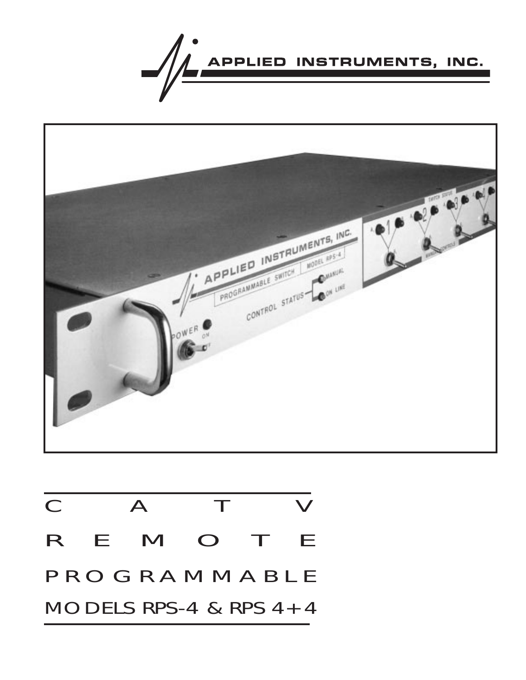



| $\mathbf C$  |  | $\mathbf{A}$             | a Mar |  | $\boldsymbol{V}$ |  |
|--------------|--|--------------------------|-------|--|------------------|--|
|              |  | R E M O T E              |       |  |                  |  |
| PROGRAMMABLE |  |                          |       |  |                  |  |
|              |  | MODELS RPS-4 & RPS $4+4$ |       |  |                  |  |